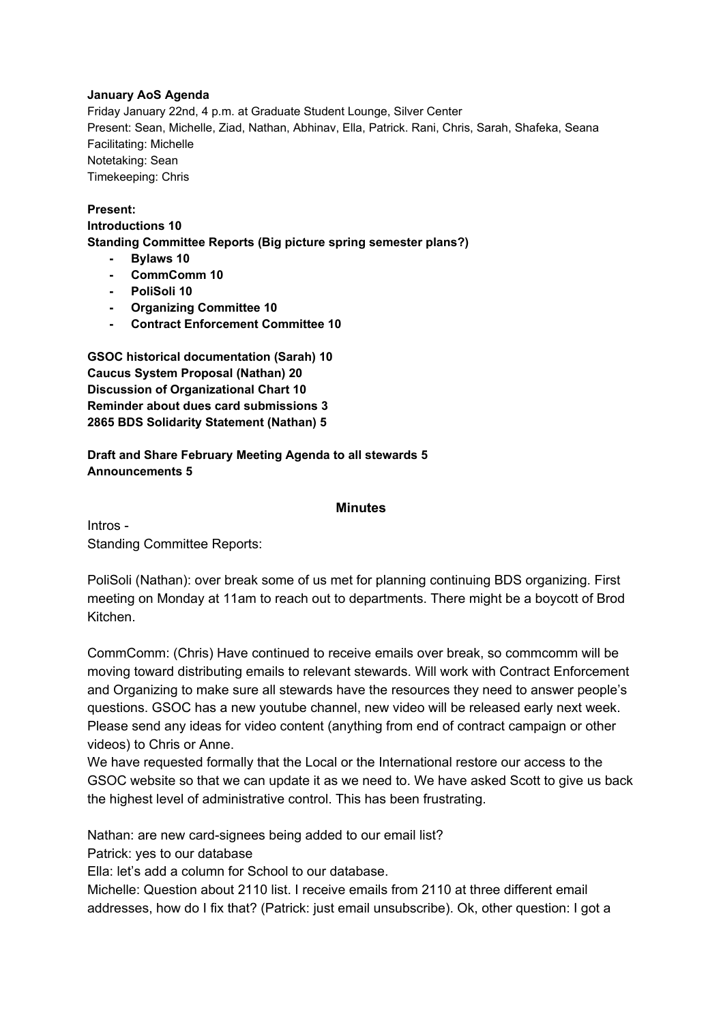### **January AoS Agenda**

Friday January 22nd, 4 p.m. at Graduate Student Lounge, Silver Center Present: Sean, Michelle, Ziad, Nathan, Abhinav, Ella, Patrick. Rani, Chris, Sarah, Shafeka, Seana Facilitating: Michelle Notetaking: Sean Timekeeping: Chris

#### **Present: Introductions 10 Standing Committee Reports (Big picture spring semester plans?)**

- **Bylaws 10**
- **CommComm 10**
- **PoliSoli 10**
- **Organizing Committee 10**
- **Contract Enforcement Committee 10**

**GSOC historical documentation (Sarah) 10 Caucus System Proposal (Nathan) 20 Discussion of Organizational Chart 10 Reminder about dues card submissions 3 2865 BDS Solidarity Statement (Nathan) 5**

## **Draft and Share February Meeting Agenda to all stewards 5 Announcements 5**

### **Minutes**

Intros Standing Committee Reports:

PoliSoli (Nathan): over break some of us met for planning continuing BDS organizing. First meeting on Monday at 11am to reach out to departments. There might be a boycott of Brod Kitchen.

CommComm: (Chris) Have continued to receive emails over break, so commcomm will be moving toward distributing emails to relevant stewards. Will work with Contract Enforcement and Organizing to make sure all stewards have the resources they need to answer people's questions. GSOC has a new youtube channel, new video will be released early next week. Please send any ideas for video content (anything from end of contract campaign or other videos) to Chris or Anne.

We have requested formally that the Local or the International restore our access to the GSOC website so that we can update it as we need to. We have asked Scott to give us back the highest level of administrative control. This has been frustrating.

Nathan: are new card-signees being added to our email list?

Patrick: yes to our database

Ella: let's add a column for School to our database.

Michelle: Question about 2110 list. I receive emails from 2110 at three different email addresses, how do I fix that? (Patrick: just email unsubscribe). Ok, other question: I got a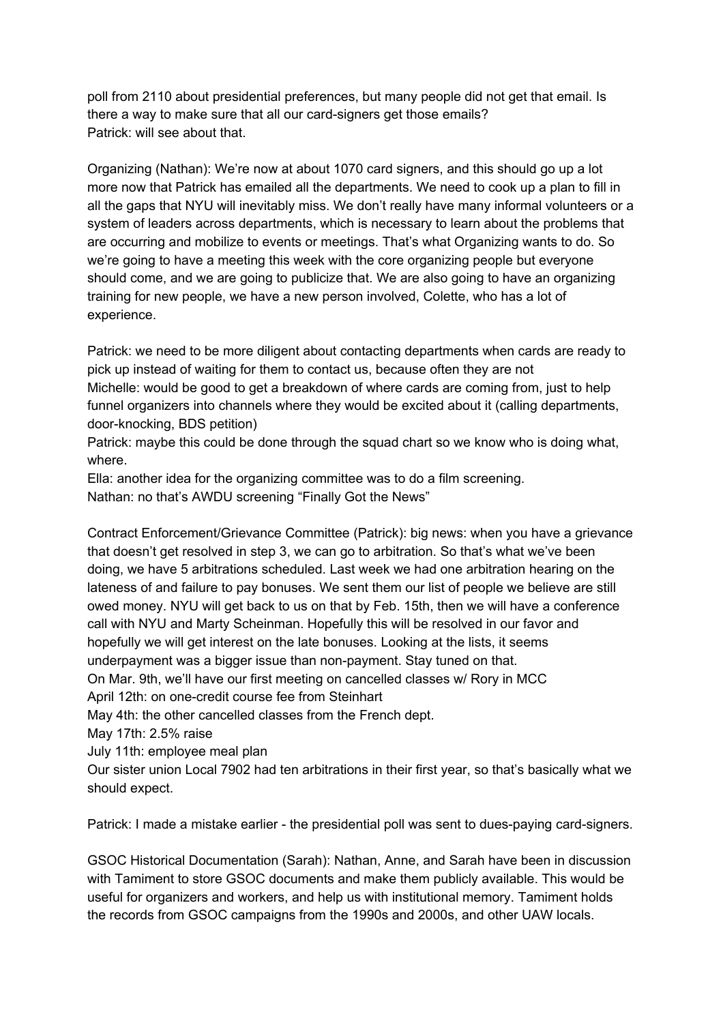poll from 2110 about presidential preferences, but many people did not get that email. Is there a way to make sure that all our card-signers get those emails? Patrick: will see about that.

Organizing (Nathan): We're now at about 1070 card signers, and this should go up a lot more now that Patrick has emailed all the departments. We need to cook up a plan to fill in all the gaps that NYU will inevitably miss. We don't really have many informal volunteers or a system of leaders across departments, which is necessary to learn about the problems that are occurring and mobilize to events or meetings. That's what Organizing wants to do. So we're going to have a meeting this week with the core organizing people but everyone should come, and we are going to publicize that. We are also going to have an organizing training for new people, we have a new person involved, Colette, who has a lot of experience.

Patrick: we need to be more diligent about contacting departments when cards are ready to pick up instead of waiting for them to contact us, because often they are not Michelle: would be good to get a breakdown of where cards are coming from, just to help funnel organizers into channels where they would be excited about it (calling departments, door-knocking, BDS petition)

Patrick: maybe this could be done through the squad chart so we know who is doing what, where.

Ella: another idea for the organizing committee was to do a film screening.

Nathan: no that's AWDU screening "Finally Got the News"

Contract Enforcement/Grievance Committee (Patrick): big news: when you have a grievance that doesn't get resolved in step 3, we can go to arbitration. So that's what we've been doing, we have 5 arbitrations scheduled. Last week we had one arbitration hearing on the lateness of and failure to pay bonuses. We sent them our list of people we believe are still owed money. NYU will get back to us on that by Feb. 15th, then we will have a conference call with NYU and Marty Scheinman. Hopefully this will be resolved in our favor and hopefully we will get interest on the late bonuses. Looking at the lists, it seems underpayment was a bigger issue than non-payment. Stay tuned on that. On Mar. 9th, we'll have our first meeting on cancelled classes w/ Rory in MCC

April 12th: on one-credit course fee from Steinhart

May 4th: the other cancelled classes from the French dept.

May 17th: 2.5% raise

July 11th: employee meal plan

Our sister union Local 7902 had ten arbitrations in their first year, so that's basically what we should expect.

Patrick: I made a mistake earlier - the presidential poll was sent to dues-paying card-signers.

GSOC Historical Documentation (Sarah): Nathan, Anne, and Sarah have been in discussion with Tamiment to store GSOC documents and make them publicly available. This would be useful for organizers and workers, and help us with institutional memory. Tamiment holds the records from GSOC campaigns from the 1990s and 2000s, and other UAW locals.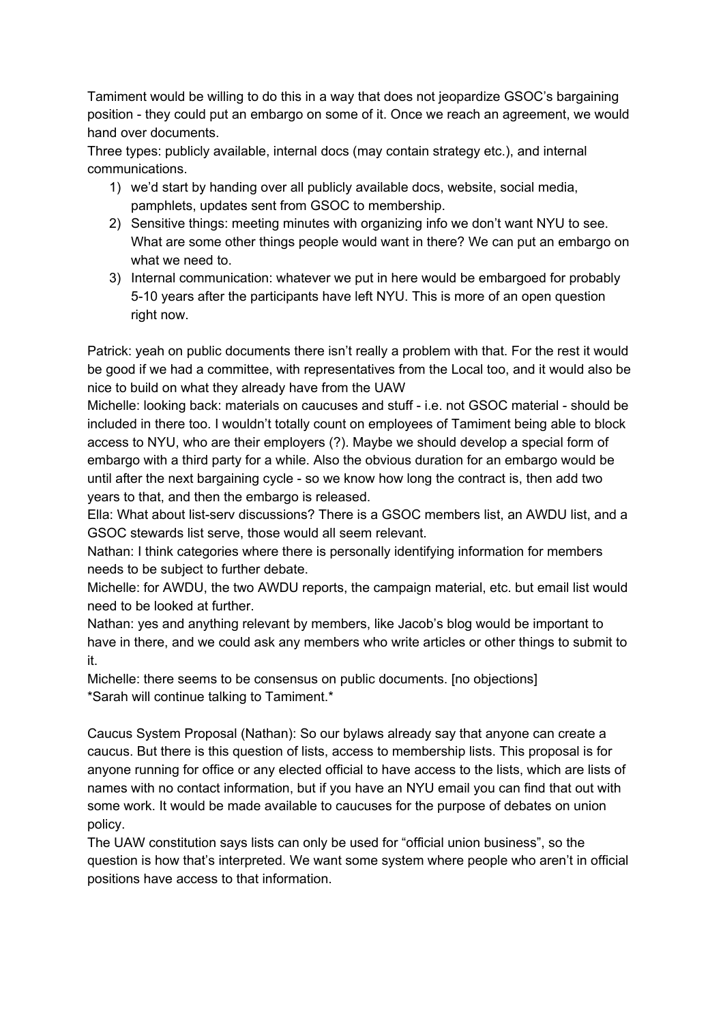Tamiment would be willing to do this in a way that does not jeopardize GSOC's bargaining position they could put an embargo on some of it. Once we reach an agreement, we would hand over documents.

Three types: publicly available, internal docs (may contain strategy etc.), and internal communications.

- 1) we'd start by handing over all publicly available docs, website, social media, pamphlets, updates sent from GSOC to membership.
- 2) Sensitive things: meeting minutes with organizing info we don't want NYU to see. What are some other things people would want in there? We can put an embargo on what we need to.
- 3) Internal communication: whatever we put in here would be embargoed for probably 510 years after the participants have left NYU. This is more of an open question right now.

Patrick: yeah on public documents there isn't really a problem with that. For the rest it would be good if we had a committee, with representatives from the Local too, and it would also be nice to build on what they already have from the UAW

Michelle: looking back: materials on caucuses and stuff - i.e. not GSOC material - should be included in there too. I wouldn't totally count on employees of Tamiment being able to block access to NYU, who are their employers (?). Maybe we should develop a special form of embargo with a third party for a while. Also the obvious duration for an embargo would be until after the next bargaining cycle - so we know how long the contract is, then add two years to that, and then the embargo is released.

Ella: What about list-serv discussions? There is a GSOC members list, an AWDU list, and a GSOC stewards list serve, those would all seem relevant.

Nathan: I think categories where there is personally identifying information for members needs to be subject to further debate.

Michelle: for AWDU, the two AWDU reports, the campaign material, etc. but email list would need to be looked at further.

Nathan: yes and anything relevant by members, like Jacob's blog would be important to have in there, and we could ask any members who write articles or other things to submit to it.

Michelle: there seems to be consensus on public documents. [no objections] \*Sarah will continue talking to Tamiment.\*

Caucus System Proposal (Nathan): So our bylaws already say that anyone can create a caucus. But there is this question of lists, access to membership lists. This proposal is for anyone running for office or any elected official to have access to the lists, which are lists of names with no contact information, but if you have an NYU email you can find that out with some work. It would be made available to caucuses for the purpose of debates on union policy.

The UAW constitution says lists can only be used for "official union business", so the question is how that's interpreted. We want some system where people who aren't in official positions have access to that information.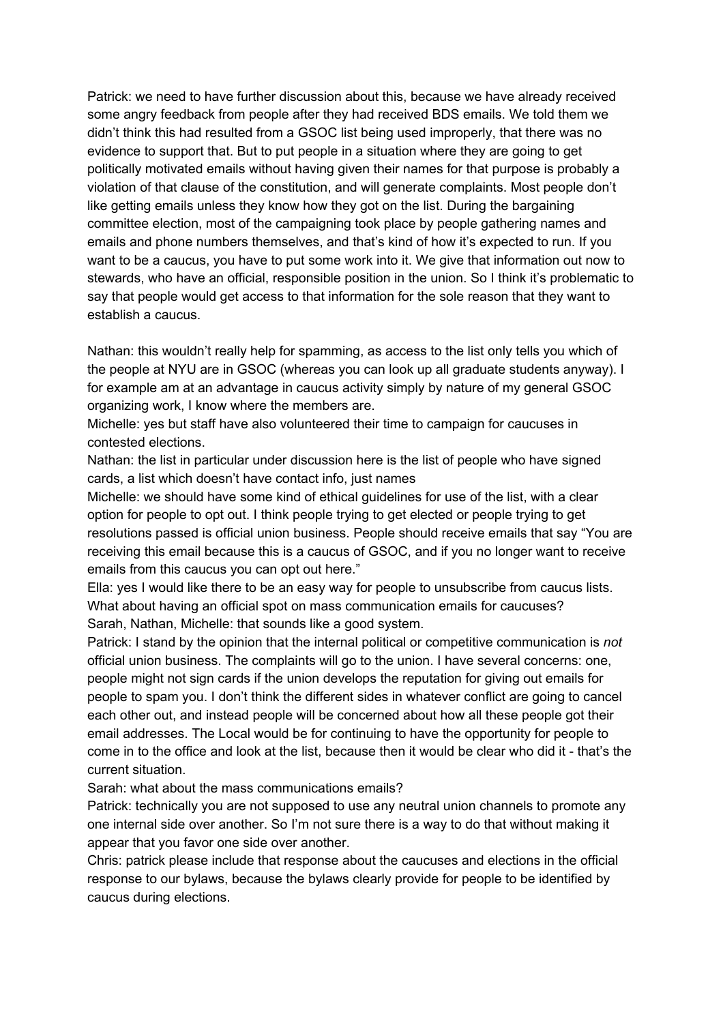Patrick: we need to have further discussion about this, because we have already received some angry feedback from people after they had received BDS emails. We told them we didn't think this had resulted from a GSOC list being used improperly, that there was no evidence to support that. But to put people in a situation where they are going to get politically motivated emails without having given their names for that purpose is probably a violation of that clause of the constitution, and will generate complaints. Most people don't like getting emails unless they know how they got on the list. During the bargaining committee election, most of the campaigning took place by people gathering names and emails and phone numbers themselves, and that's kind of how it's expected to run. If you want to be a caucus, you have to put some work into it. We give that information out now to stewards, who have an official, responsible position in the union. So I think it's problematic to say that people would get access to that information for the sole reason that they want to establish a caucus.

Nathan: this wouldn't really help for spamming, as access to the list only tells you which of the people at NYU are in GSOC (whereas you can look up all graduate students anyway). I for example am at an advantage in caucus activity simply by nature of my general GSOC organizing work, I know where the members are.

Michelle: yes but staff have also volunteered their time to campaign for caucuses in contested elections.

Nathan: the list in particular under discussion here is the list of people who have signed cards, a list which doesn't have contact info, just names

Michelle: we should have some kind of ethical guidelines for use of the list, with a clear option for people to opt out. I think people trying to get elected or people trying to get resolutions passed is official union business. People should receive emails that say "You are receiving this email because this is a caucus of GSOC, and if you no longer want to receive emails from this caucus you can opt out here."

Ella: yes I would like there to be an easy way for people to unsubscribe from caucus lists. What about having an official spot on mass communication emails for caucuses? Sarah, Nathan, Michelle: that sounds like a good system.

Patrick: I stand by the opinion that the internal political or competitive communication is *not* official union business. The complaints will go to the union. I have several concerns: one, people might not sign cards if the union develops the reputation for giving out emails for people to spam you. I don't think the different sides in whatever conflict are going to cancel each other out, and instead people will be concerned about how all these people got their email addresses. The Local would be for continuing to have the opportunity for people to come in to the office and look at the list, because then it would be clear who did it - that's the current situation.

Sarah: what about the mass communications emails?

Patrick: technically you are not supposed to use any neutral union channels to promote any one internal side over another. So I'm not sure there is a way to do that without making it appear that you favor one side over another.

Chris: patrick please include that response about the caucuses and elections in the official response to our bylaws, because the bylaws clearly provide for people to be identified by caucus during elections.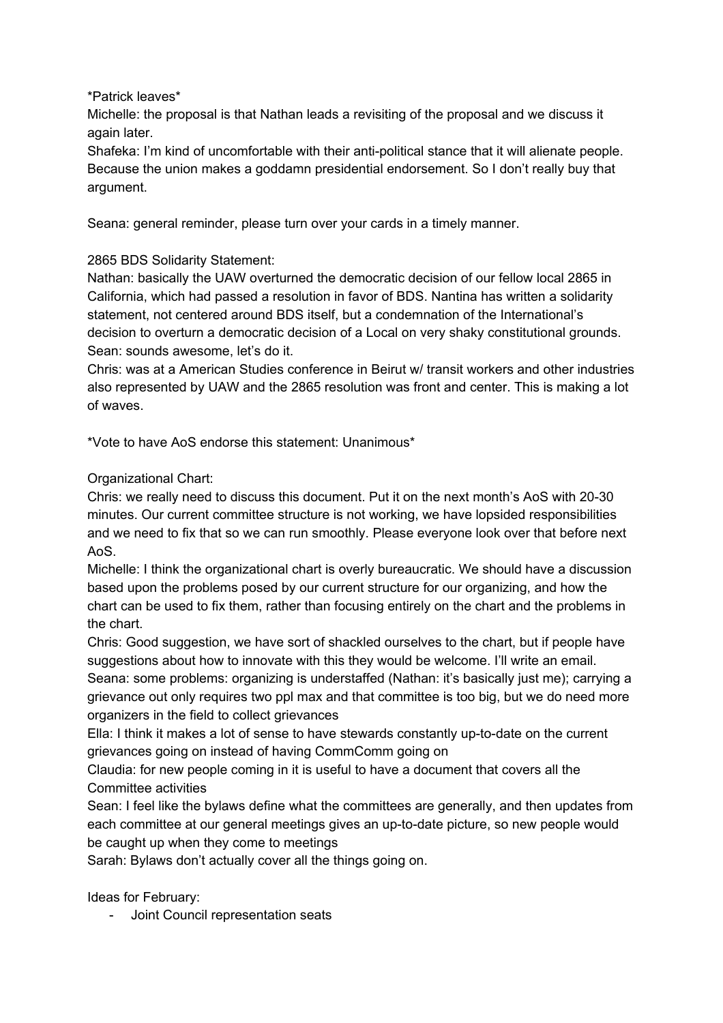\*Patrick leaves\*

Michelle: the proposal is that Nathan leads a revisiting of the proposal and we discuss it again later.

Shafeka: I'm kind of uncomfortable with their anti-political stance that it will alienate people. Because the union makes a goddamn presidential endorsement. So I don't really buy that argument.

Seana: general reminder, please turn over your cards in a timely manner.

## 2865 BDS Solidarity Statement:

Nathan: basically the UAW overturned the democratic decision of our fellow local 2865 in California, which had passed a resolution in favor of BDS. Nantina has written a solidarity statement, not centered around BDS itself, but a condemnation of the International's decision to overturn a democratic decision of a Local on very shaky constitutional grounds. Sean: sounds awesome, let's do it.

Chris: was at a American Studies conference in Beirut w/ transit workers and other industries also represented by UAW and the 2865 resolution was front and center. This is making a lot of waves.

\*Vote to have AoS endorse this statement: Unanimous\*

# Organizational Chart:

Chris: we really need to discuss this document. Put it on the next month's AoS with 2030 minutes. Our current committee structure is not working, we have lopsided responsibilities and we need to fix that so we can run smoothly. Please everyone look over that before next AoS.

Michelle: I think the organizational chart is overly bureaucratic. We should have a discussion based upon the problems posed by our current structure for our organizing, and how the chart can be used to fix them, rather than focusing entirely on the chart and the problems in the chart.

Chris: Good suggestion, we have sort of shackled ourselves to the chart, but if people have suggestions about how to innovate with this they would be welcome. I'll write an email. Seana: some problems: organizing is understaffed (Nathan: it's basically just me); carrying a grievance out only requires two ppl max and that committee is too big, but we do need more organizers in the field to collect grievances

Ella: I think it makes a lot of sense to have stewards constantly up-to-date on the current grievances going on instead of having CommComm going on

Claudia: for new people coming in it is useful to have a document that covers all the Committee activities

Sean: I feel like the bylaws define what the committees are generally, and then updates from each committee at our general meetings gives an up-to-date picture, so new people would be caught up when they come to meetings

Sarah: Bylaws don't actually cover all the things going on.

Ideas for February:

Joint Council representation seats